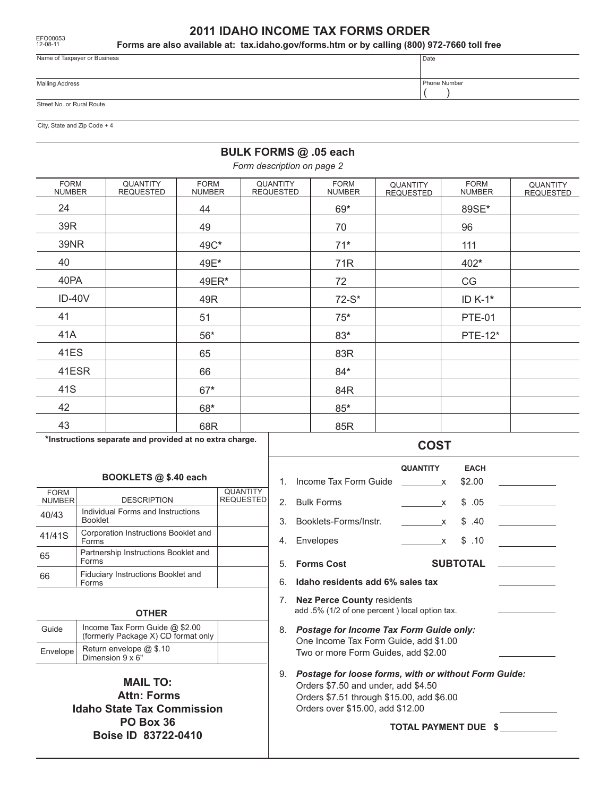12-08-11

## **2011 IDAHO INCOME TAX FORMS ORDER**

**Forms are also available at: tax.idaho.gov/forms.htm or by calling (800) 972-7660 toll free**

| Name of Taxpayer or Business | l Date       |
|------------------------------|--------------|
| <b>Mailing Address</b>       | Phone Number |
| Street No. or Rural Route    |              |

City, State and Zip Code + 4

### **BULK FORMS @ .05 each**

*Form description on page 2*

| <b>QUANTITY</b><br><b>REQUESTED</b> | <b>FORM</b><br><b>NUMBER</b> | <b>QUANTITY</b><br><b>REQUESTED</b> | <b>FORM</b><br><b>NUMBER</b> | QUANTITY<br><b>REQUESTED</b> | <b>FORM</b><br><b>NUMBER</b> | QUANTITY<br><b>REQUESTED</b> |
|-------------------------------------|------------------------------|-------------------------------------|------------------------------|------------------------------|------------------------------|------------------------------|
|                                     | 44                           |                                     | 69*                          |                              | 89SE*                        |                              |
|                                     | 49                           |                                     | 70                           |                              | 96                           |                              |
|                                     | 49C*                         |                                     | $71*$                        |                              | 111                          |                              |
|                                     | 49E*                         |                                     | 71R                          |                              | 402*                         |                              |
|                                     | 49ER*                        |                                     | 72                           |                              | CG                           |                              |
|                                     | 49R                          |                                     | $72-S*$                      |                              | ID K-1*                      |                              |
|                                     | 51                           |                                     | $75*$                        |                              | <b>PTE-01</b>                |                              |
|                                     | $56*$                        |                                     | $83*$                        |                              | <b>PTE-12*</b>               |                              |
|                                     | 65                           |                                     | 83R                          |                              |                              |                              |
|                                     | 66                           |                                     | $84*$                        |                              |                              |                              |
|                                     | $67*$                        |                                     | 84R                          |                              |                              |                              |
|                                     | 68*                          |                                     | $85*$                        |                              |                              |                              |
|                                     | 68R                          |                                     | 85R                          |                              |                              |                              |
|                                     |                              |                                     |                              |                              |                              |                              |

**\*Instructions separate and provided at no extra charge.**

#### **BOOKLETS @ \$.40 each**

| <b>FORM</b><br><b>NUMBER</b> | <b>DESCRIPTION</b>                                  | <b>QUANTITY</b><br><b>REQUESTED</b> |  |
|------------------------------|-----------------------------------------------------|-------------------------------------|--|
| 40/43                        | Individual Forms and Instructions<br><b>Booklet</b> |                                     |  |
| 41/41S                       | Corporation Instructions Booklet and<br>Forms       |                                     |  |
| 65                           | Partnership Instructions Booklet and<br>Forms       |                                     |  |
| 66                           | Fiduciary Instructions Booklet and<br>Forms         |                                     |  |
|                              |                                                     |                                     |  |

#### **OTHER**

| Guide    | Income Tax Form Guide @ \$2.00<br>(formerly Package X) CD format only |  |
|----------|-----------------------------------------------------------------------|--|
| Envelope | Return envelope @ \$.10<br>Dimension $9 \times 6"$                    |  |

**MAIL TO: Attn: Forms Idaho State Tax Commission PO Box 36 Boise ID 83722-0410**

# 1. Income Tax Form Guide x \$2.00 2. Bulk Forms x \$ .05 3. Booklets-Forms/Instr. x \$ .40 4. Envelopes x \$ .10 5. **Forms Cost SUBTOTAL** 6. **Idaho residents add 6% sales tax** 7. **Nez Perce County** residents 8. *Postage for Income Tax Form Guide only:* One Income Tax Form Guide, add \$1.00 Two or more Form Guides, add \$2.00 9. *Postage for loose forms, with or without Form Guide:* Orders \$7.50 and under, add \$4.50 Orders \$7.51 through \$15.00, add \$6.00 Orders over \$15.00, add \$12.00 **TOTAL PAYMENT DUE \$** add .5% (1/2 of one percent ) local option tax.  **QUANTITY EACH**  $\overline{\phantom{a}}$   $\overline{\phantom{a}}$   $\overline{\phantom{a}}$   $\overline{\phantom{a}}$

### **COST**